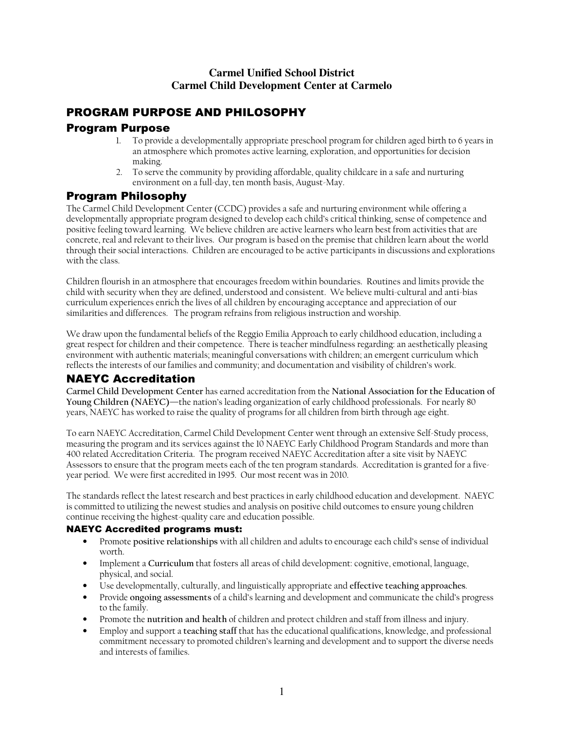## **Carmel Unified School District Carmel Child Development Center at Carmelo**

# PROGRAM PURPOSE AND PHILOSOPHY

# Program Purpose

- 1. To provide a developmentally appropriate preschool program for children aged birth to 6 years in an atmosphere which promotes active learning, exploration, and opportunities for decision making.
- 2. To serve the community by providing affordable, quality childcare in a safe and nurturing environment on a full-day, ten month basis, August-May.

# Program Philosophy

The Carmel Child Development Center (CCDC) provides a safe and nurturing environment while offering a developmentally appropriate program designed to develop each child's critical thinking, sense of competence and positive feeling toward learning. We believe children are active learners who learn best from activities that are concrete, real and relevant to their lives. Our program is based on the premise that children learn about the world through their social interactions. Children are encouraged to be active participants in discussions and explorations with the class.

Children flourish in an atmosphere that encourages freedom within boundaries. Routines and limits provide the child with security when they are defined, understood and consistent. We believe multi-cultural and anti-bias curriculum experiences enrich the lives of all children by encouraging acceptance and appreciation of our similarities and differences. The program refrains from religious instruction and worship.

We draw upon the fundamental beliefs of the Reggio Emilia Approach to early childhood education, including a great respect for children and their competence. There is teacher mindfulness regarding: an aesthetically pleasing environment with authentic materials; meaningful conversations with children; an emergent curriculum which reflects the interests of our families and community; and documentation and visibility of children's work.

# NAEYC Accreditation

**Carmel Child Development Center** has earned accreditation from the **National Association for the Education of Young Children (NAEYC)**—the nation's leading organization of early childhood professionals. For nearly 80 years, NAEYC has worked to raise the quality of programs for all children from birth through age eight.

To earn NAEYC Accreditation, Carmel Child Development Center went through an extensive Self-Study process, measuring the program and its services against the 10 NAEYC Early Childhood Program Standards and more than 400 related Accreditation Criteria. The program received NAEYC Accreditation after a site visit by NAEYC Assessors to ensure that the program meets each of the ten program standards. Accreditation is granted for a fiveyear period. We were first accredited in 1995. Our most recent was in 2010.

The standards reflect the latest research and best practices in early childhood education and development. NAEYC is committed to utilizing the newest studies and analysis on positive child outcomes to ensure young children continue receiving the highest-quality care and education possible.

## NAEYC Accredited programs must:

- Promote **positive relationships** with all children and adults to encourage each child's sense of individual worth.
- Implement a **Curriculum** that fosters all areas of child development: cognitive, emotional, language, physical, and social.
- Use developmentally, culturally, and linguistically appropriate and **effective teaching approaches**.
- Provide **ongoing assessments** of a child's learning and development and communicate the child's progress to the family.
- Promote the **nutrition and health** of children and protect children and staff from illness and injury.
- Employ and support a **teaching staff** that has the educational qualifications, knowledge, and professional commitment necessary to promoted children's learning and development and to support the diverse needs and interests of families.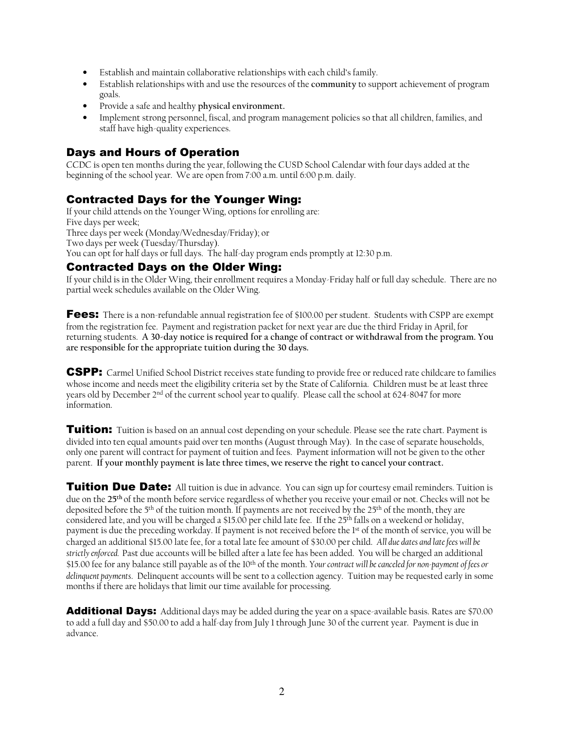- Establish and maintain collaborative relationships with each child's family.
- Establish relationships with and use the resources of the **community** to support achievement of program goals.
- Provide a safe and healthy **physical environment.**
- Implement strong personnel, fiscal, and program management policies so that all children, families, and staff have high-quality experiences.

# Days and Hours of Operation

CCDC is open ten months during the year, following the CUSD School Calendar with four days added at the beginning of the school year. We are open from 7:00 a.m. until 6:00 p.m. daily.

# Contracted Days for the Younger Wing:

If your child attends on the Younger Wing, options for enrolling are: Five days per week; Three days per week (Monday/Wednesday/Friday); or Two days per week (Tuesday/Thursday). You can opt for half days or full days. The half-day program ends promptly at 12:30 p.m.

## Contracted Days on the Older Wing:

If your child is in the Older Wing, their enrollment requires a Monday-Friday half or full day schedule. There are no partial week schedules available on the Older Wing.

Fees: There is a non-refundable annual registration fee of \$100.00 per student. Students with CSPP are exempt from the registration fee. Payment and registration packet for next year are due the third Friday in April, for returning students. **A 30-day notice is required for a change of contract or withdrawal from the program. You are responsible for the appropriate tuition during the 30 days.** 

CSPP:Carmel Unified School District receives state funding to provide free or reduced rate childcare to families whose income and needs meet the eligibility criteria set by the State of California. Children must be at least three years old by December 2nd of the current school year to qualify. Please call the school at 624-8047 for more information.

**Tuition:** Tuition is based on an annual cost depending on your schedule. Please see the rate chart. Payment is divided into ten equal amounts paid over ten months (August through May). In the case of separate households, only one parent will contract for payment of tuition and fees. Payment information will not be given to the other parent. **If your monthly payment is late three times, we reserve the right to cancel your contract.**

**Tuition Due Date:** All tuition is due in advance. You can sign up for courtesy email reminders. Tuition is due on the **25th** of the month before service regardless of whether you receive your email or not. Checks will not be deposited before the 5th of the tuition month. If payments are not received by the 25th of the month, they are considered late, and you will be charged a \$15.00 per child late fee. If the 25<sup>th</sup> falls on a weekend or holiday, payment is due the preceding workday. If payment is not received before the 1st of the month of service, you will be charged an additional \$15.00 late fee, for a total late fee amount of \$30.00 per child. *All due dates and late fees will be strictly enforced.* Past due accounts will be billed after a late fee has been added. You will be charged an additional \$15.00 fee for any balance still payable as of the 10th of the month. *Your contract will be canceled for non-payment of fees or delinquent payments*. Delinquent accounts will be sent to a collection agency. Tuition may be requested early in some months if there are holidays that limit our time available for processing.

Additional Days:Additional days may be added during the year on a space-available basis. Rates are \$70.00 to add a full day and \$50.00 to add a half-day from July 1 through June 30 of the current year. Payment is due in advance.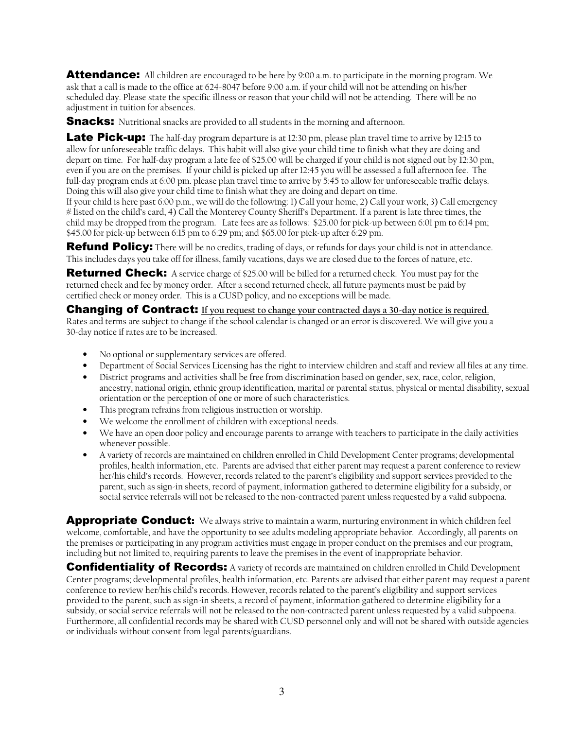Attendance:All children are encouraged to be here by 9:00 a.m. to participate in the morning program. We ask that a call is made to the office at 624-8047 before 9:00 a.m. if your child will not be attending on his/her scheduled day. Please state the specific illness or reason that your child will not be attending. There will be no adjustment in tuition for absences.

**Snacks:** Nutritional snacks are provided to all students in the morning and afternoon.

**Late Pick-up:** The half-day program departure is at 12:30 pm, please plan travel time to arrive by 12:15 to allow for unforeseeable traffic delays. This habit will also give your child time to finish what they are doing and depart on time. For half-day program a late fee of \$25.00 will be charged if your child is not signed out by 12:30 pm, even if you are on the premises. If your child is picked up after 12:45 you will be assessed a full afternoon fee. The full-day program ends at 6:00 pm. please plan travel time to arrive by 5:45 to allow for unforeseeable traffic delays. Doing this will also give your child time to finish what they are doing and depart on time.

If your child is here past 6:00 p.m., we will do the following: 1) Call your home, 2) Call your work, 3) Call emergency # listed on the child's card, 4) Call the Monterey County Sheriff's Department. If a parent is late three times, the child may be dropped from the program. Late fees are as follows: \$25.00 for pick-up between 6:01 pm to 6:14 pm; \$45.00 for pick-up between 6:15 pm to 6:29 pm; and \$65.00 for pick-up after 6:29 pm.

Refund Policy: There will be no credits, trading of days, or refunds for days your child is not in attendance. This includes days you take off for illness, family vacations, days we are closed due to the forces of nature, etc.

**Returned Check:** A service charge of \$25.00 will be billed for a returned check. You must pay for the returned check and fee by money order. After a second returned check, all future payments must be paid by certified check or money order. This is a CUSD policy, and no exceptions will be made.

**Changing of Contract:** If you request to change your contracted days a 30-day notice is required. Rates and terms are subject to change if the school calendar is changed or an error is discovered. We will give you a 30-day notice if rates are to be increased.

- No optional or supplementary services are offered.
- Department of Social Services Licensing has the right to interview children and staff and review all files at any time.
- District programs and activities shall be free from discrimination based on gender, sex, race, color, religion, ancestry, national origin, ethnic group identification, marital or parental status, physical or mental disability, sexual orientation or the perception of one or more of such characteristics.
- This program refrains from religious instruction or worship.
- We welcome the enrollment of children with exceptional needs.
- We have an open door policy and encourage parents to arrange with teachers to participate in the daily activities whenever possible.
- A variety of records are maintained on children enrolled in Child Development Center programs; developmental profiles, health information, etc. Parents are advised that either parent may request a parent conference to review her/his child's records. However, records related to the parent's eligibility and support services provided to the parent, such as sign-in sheets, record of payment, information gathered to determine eligibility for a subsidy, or social service referrals will not be released to the non-contracted parent unless requested by a valid subpoena.

Appropriate Conduct:We always strive to maintain a warm, nurturing environment in which children feel welcome, comfortable, and have the opportunity to see adults modeling appropriate behavior. Accordingly, all parents on the premises or participating in any program activities must engage in proper conduct on the premises and our program, including but not limited to, requiring parents to leave the premises in the event of inappropriate behavior.

**Confidentiality of Records:** A variety of records are maintained on children enrolled in Child Development Center programs; developmental profiles, health information, etc. Parents are advised that either parent may request a parent conference to review her/his child's records. However, records related to the parent's eligibility and support services provided to the parent, such as sign-in sheets, a record of payment, information gathered to determine eligibility for a subsidy, or social service referrals will not be released to the non-contracted parent unless requested by a valid subpoena. Furthermore, all confidential records may be shared with CUSD personnel only and will not be shared with outside agencies or individuals without consent from legal parents/guardians.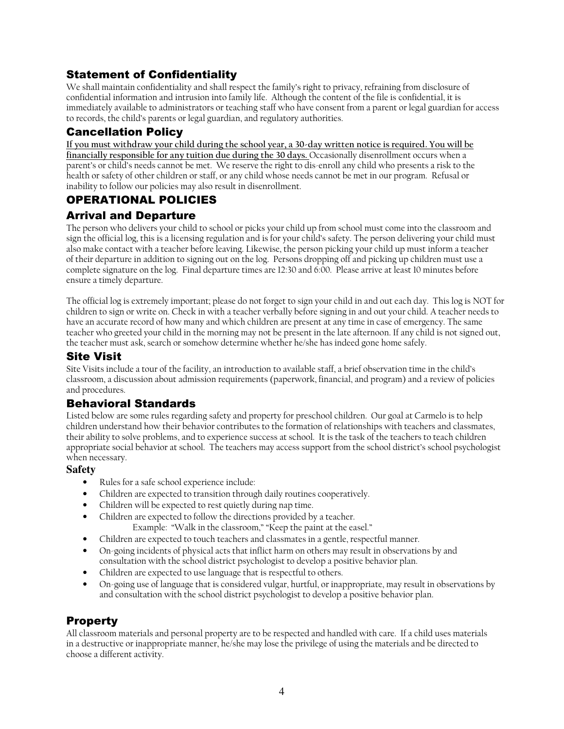# Statement of Confidentiality

We shall maintain confidentiality and shall respect the family's right to privacy, refraining from disclosure of confidential information and intrusion into family life. Although the content of the file is confidential, it is immediately available to administrators or teaching staff who have consent from a parent or legal guardian for access to records, the child's parents or legal guardian, and regulatory authorities.

# Cancellation Policy

**If you must withdraw your child during the school year, a 30-day written notice is required. You will be financially responsible for any tuition due during the 30 days.** Occasionally disenrollment occurs when a parent's or child's needs cannot be met. We reserve the right to dis-enroll any child who presents a risk to the health or safety of other children or staff, or any child whose needs cannot be met in our program. Refusal or inability to follow our policies may also result in disenrollment.

# OPERATIONAL POLICIES

# Arrival and Departure

The person who delivers your child to school or picks your child up from school must come into the classroom and sign the official log, this is a licensing regulation and is for your child's safety. The person delivering your child must also make contact with a teacher before leaving. Likewise, the person picking your child up must inform a teacher of their departure in addition to signing out on the log. Persons dropping off and picking up children must use a complete signature on the log. Final departure times are 12:30 and 6:00. Please arrive at least 10 minutes before ensure a timely departure.

The official log is extremely important; please do not forget to sign your child in and out each day. This log is NOT for children to sign or write on. Check in with a teacher verbally before signing in and out your child. A teacher needs to have an accurate record of how many and which children are present at any time in case of emergency. The same teacher who greeted your child in the morning may not be present in the late afternoon. If any child is not signed out, the teacher must ask, search or somehow determine whether he/she has indeed gone home safely.

# Site Visit

Site Visits include a tour of the facility, an introduction to available staff, a brief observation time in the child's classroom, a discussion about admission requirements (paperwork, financial, and program) and a review of policies and procedures.

# Behavioral Standards

Listed below are some rules regarding safety and property for preschool children. Our goal at Carmelo is to help children understand how their behavior contributes to the formation of relationships with teachers and classmates, their ability to solve problems, and to experience success at school. It is the task of the teachers to teach children appropriate social behavior at school. The teachers may access support from the school district's school psychologist when necessary.

## **Safety**

- Rules for a safe school experience include:
- Children are expected to transition through daily routines cooperatively.
- Children will be expected to rest quietly during nap time.
- Children are expected to follow the directions provided by a teacher.
	- Example: "Walk in the classroom," "Keep the paint at the easel."
- Children are expected to touch teachers and classmates in a gentle, respectful manner.
- On-going incidents of physical acts that inflict harm on others may result in observations by and consultation with the school district psychologist to develop a positive behavior plan.
- Children are expected to use language that is respectful to others.
- On-going use of language that is considered vulgar, hurtful, or inappropriate, may result in observations by and consultation with the school district psychologist to develop a positive behavior plan.

# Property

All classroom materials and personal property are to be respected and handled with care. If a child uses materials in a destructive or inappropriate manner, he/she may lose the privilege of using the materials and be directed to choose a different activity.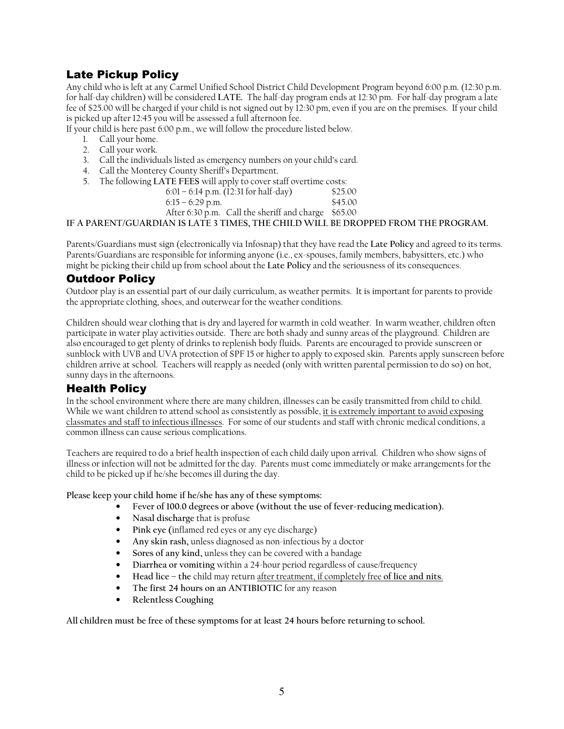# Late Pickup Policy

Any child who is left at any Carmel Unified School District Child Development Program beyond 6:00 p.m. (12:30 p.m. for half-day children) will be considered **LATE.** The half-day program ends at 12:30 pm. For half-day program a late fee of \$25.00 will be charged if your child is not signed out by 12:30 pm, even if you are on the premises. If your child is picked up after 12:45 you will be assessed a full afternoon fee.

If your child is here past 6:00 p.m., we will follow the procedure listed below.

- 1. Call your home.
- 2. Call your work.
- 3. Call the individuals listed as emergency numbers on your child's card.
- 4. Call the Monterey County Sheriff's Department.
- 5. The following **LATE FEES** will apply to cover staff overtime costs:

| 6:01 – 6:14 p.m. (12:31 for half-day)               | \$25.00 |
|-----------------------------------------------------|---------|
| $6:15 - 6:29$ p.m.                                  | \$45.00 |
| After 6:30 p.m. Call the sheriff and charge \$65.00 |         |

**IF A PARENT/GUARDIAN IS LATE 3 TIMES, THE CHILD WILL BE DROPPED FROM THE PROGRAM.** 

Parents/Guardians must sign (electronically via Infosnap) that they have read the **Late Policy** and agreed to its terms. Parents/Guardians are responsible for informing anyone (i.e., ex-spouses, family members, babysitters, etc.) who might be picking their child up from school about the **Late Policy** and the seriousness of its consequences.

## Outdoor Policy

Outdoor play is an essential part of our daily curriculum, as weather permits. It is important for parents to provide the appropriate clothing, shoes, and outerwear for the weather conditions.

Children should wear clothing that is dry and layered for warmth in cold weather. In warm weather, children often participate in water play activities outside. There are both shady and sunny areas of the playground. Children are also encouraged to get plenty of drinks to replenish body fluids. Parents are encouraged to provide sunscreen or sunblock with UVB and UVA protection of SPF 15 or higher to apply to exposed skin. Parents apply sunscreen before children arrive at school. Teachers will reapply as needed (only with written parental permission to do so) on hot, sunny days in the afternoons.

## Health Policy

In the school environment where there are many children, illnesses can be easily transmitted from child to child. While we want children to attend school as consistently as possible, it is extremely important to avoid exposing classmates and staff to infectious illnesses. For some of our students and staff with chronic medical conditions, a common illness can cause serious complications.

Teachers are required to do a brief health inspection of each child daily upon arrival. Children who show signs of illness or infection will not be admitted for the day. Parents must come immediately or make arrangements for the child to be picked up if he/she becomes ill during the day.

**Please keep your child home if he/she has any of these symptoms:** 

- **Fever of 100.0 degrees or above (without the use of fever-reducing medication).**
- **Nasal discharge** that is profuse
- **Pink eye (**inflamed red eyes or any eye discharge)
- **Any skin rash,** unless diagnosed as non-infectious by a doctor
- **Sores of any kind,** unless they can be covered with a bandage
- **Diarrhea or vomiting** within a 24-hour period regardless of cause/frequency
- **Head lice the** child may return after treatment, if completely free **of lice and nits**.
- **The first 24 hours on an ANTIBIOTIC** for any reason
- **Relentless Coughing**

**All children must be free of these symptoms for at least 24 hours before returning to school.**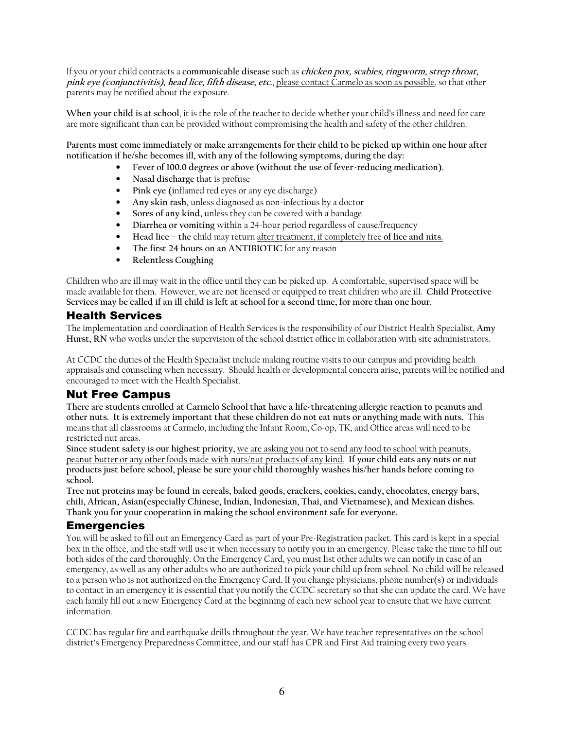If you or your child contracts a **communicable disease** such as **chicken pox, scabies, ringworm, strep throat, pink eye (conjunctivitis), head lice, fifth disease, etc.**, please contact Carmelo as soon as possible, so that other parents may be notified about the exposure.

**When your child is at school**, it is the role of the teacher to decide whether your child's illness and need for care are more significant than can be provided without compromising the health and safety of the other children.

**Parents must come immediately or make arrangements for their child to be picked up within one hour after notification if he/she becomes ill, with any of the following symptoms, during the day:** 

- **Fever of 100.0 degrees or above (without the use of fever-reducing medication).**
- **Nasal discharge** that is profuse
- **Pink eye (**inflamed red eyes or any eye discharge)
- **Any skin rash,** unless diagnosed as non-infectious by a doctor
- **Sores of any kind,** unless they can be covered with a bandage
- **Diarrhea or vomiting** within a 24-hour period regardless of cause/frequency
- **Head lice the** child may return after treatment, if completely free **of lice and nits**.
- **The first 24 hours on an ANTIBIOTIC** for any reason
- **Relentless Coughing**

Children who are ill may wait in the office until they can be picked up. A comfortable, supervised space will be made available for them. However, we are not licensed or equipped to treat children who are ill. **Child Protective Services may be called if an ill child is left at school for a second time, for more than one hour.**

## Health Services

The implementation and coordination of Health Services is the responsibility of our District Health Specialist, **Amy Hurst, RN** who works under the supervision of the school district office in collaboration with site administrators.

At CCDC the duties of the Health Specialist include making routine visits to our campus and providing health appraisals and counseling when necessary. Should health or developmental concern arise, parents will be notified and encouraged to meet with the Health Specialist.

## Nut Free Campus

**There are students enrolled at Carmelo School that have a life-threatening allergic reaction to peanuts and other nuts. It is extremely important that these children do not eat nuts or anything made with nuts.** This means that all classrooms at Carmelo, including the Infant Room, Co-op, TK, and Office areas will need to be restricted nut areas.

**Since student safety is our highest priority,** we are asking you not to send any food to school with peanuts, peanut butter or any other foods made with nuts/nut products of any kind. **If your child eats any nuts or nut products just before school, please be sure your child thoroughly washes his/her hands before coming to school.** 

**Tree nut proteins may be found in cereals, baked goods, crackers, cookies, candy, chocolates, energy bars, chili, African, Asian(especially Chinese, Indian, Indonesian, Thai, and Vietnamese), and Mexican dishes. Thank you for your cooperation in making the school environment safe for everyone.** 

## Emergencies

You will be asked to fill out an Emergency Card as part of your Pre-Registration packet. This card is kept in a special box in the office, and the staff will use it when necessary to notify you in an emergency. Please take the time to fill out both sides of the card thoroughly. On the Emergency Card, you must list other adults we can notify in case of an emergency, as well as any other adults who are authorized to pick your child up from school. No child will be released to a person who is not authorized on the Emergency Card. If you change physicians, phone number(s) or individuals to contact in an emergency it is essential that you notify the CCDC secretary so that she can update the card. We have each family fill out a new Emergency Card at the beginning of each new school year to ensure that we have current information.

CCDC has regular fire and earthquake drills throughout the year. We have teacher representatives on the school district's Emergency Preparedness Committee, and our staff has CPR and First Aid training every two years.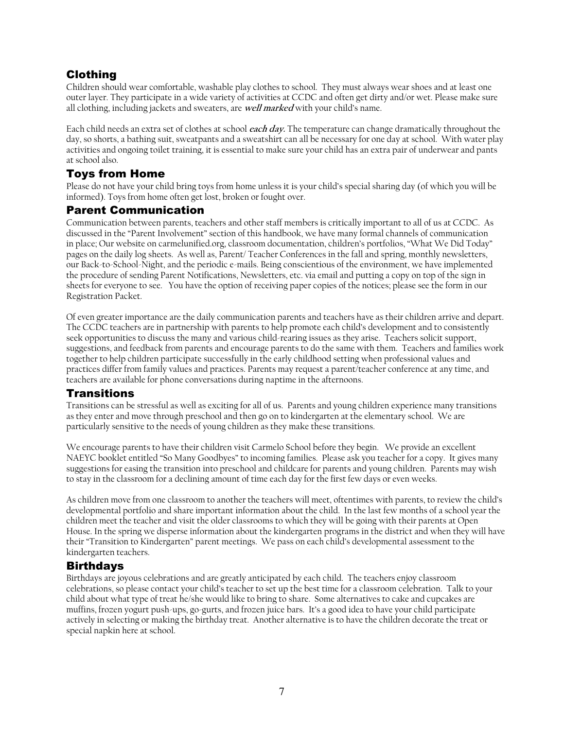# Clothing

Children should wear comfortable, washable play clothes to school. They must always wear shoes and at least one outer layer. They participate in a wide variety of activities at CCDC and often get dirty and/or wet. Please make sure all clothing, including jackets and sweaters, are **well marked** with your child's name.

Each child needs an extra set of clothes at school **each day.** The temperature can change dramatically throughout the day, so shorts, a bathing suit, sweatpants and a sweatshirt can all be necessary for one day at school. With water play activities and ongoing toilet training, it is essential to make sure your child has an extra pair of underwear and pants at school also.

# Toys from Home

Please do not have your child bring toys from home unless it is your child's special sharing day (of which you will be informed). Toys from home often get lost, broken or fought over.

# Parent Communication

Communication between parents, teachers and other staff members is critically important to all of us at CCDC. As discussed in the "Parent Involvement" section of this handbook, we have many formal channels of communication in place; Our website on carmelunified.org, classroom documentation, children's portfolios, "What We Did Today" pages on the daily log sheets. As well as, Parent/ Teacher Conferences in the fall and spring, monthly newsletters, our Back-to-School-Night, and the periodic e-mails. Being conscientious of the environment, we have implemented the procedure of sending Parent Notifications, Newsletters, etc. via email and putting a copy on top of the sign in sheets for everyone to see. You have the option of receiving paper copies of the notices; please see the form in our Registration Packet.

Of even greater importance are the daily communication parents and teachers have as their children arrive and depart. The CCDC teachers are in partnership with parents to help promote each child's development and to consistently seek opportunities to discuss the many and various child-rearing issues as they arise. Teachers solicit support, suggestions, and feedback from parents and encourage parents to do the same with them. Teachers and families work together to help children participate successfully in the early childhood setting when professional values and practices differ from family values and practices. Parents may request a parent/teacher conference at any time, and teachers are available for phone conversations during naptime in the afternoons.

## Transitions

Transitions can be stressful as well as exciting for all of us. Parents and young children experience many transitions as they enter and move through preschool and then go on to kindergarten at the elementary school. We are particularly sensitive to the needs of young children as they make these transitions.

We encourage parents to have their children visit Carmelo School before they begin. We provide an excellent NAEYC booklet entitled "So Many Goodbyes" to incoming families. Please ask you teacher for a copy. It gives many suggestions for easing the transition into preschool and childcare for parents and young children. Parents may wish to stay in the classroom for a declining amount of time each day for the first few days or even weeks.

As children move from one classroom to another the teachers will meet, oftentimes with parents, to review the child's developmental portfolio and share important information about the child. In the last few months of a school year the children meet the teacher and visit the older classrooms to which they will be going with their parents at Open House. In the spring we disperse information about the kindergarten programs in the district and when they will have their "Transition to Kindergarten" parent meetings. We pass on each child's developmental assessment to the kindergarten teachers.

# Birthdays

Birthdays are joyous celebrations and are greatly anticipated by each child. The teachers enjoy classroom celebrations, so please contact your child's teacher to set up the best time for a classroom celebration. Talk to your child about what type of treat he/she would like to bring to share. Some alternatives to cake and cupcakes are muffins, frozen yogurt push-ups, go-gurts, and frozen juice bars. It's a good idea to have your child participate actively in selecting or making the birthday treat. Another alternative is to have the children decorate the treat or special napkin here at school.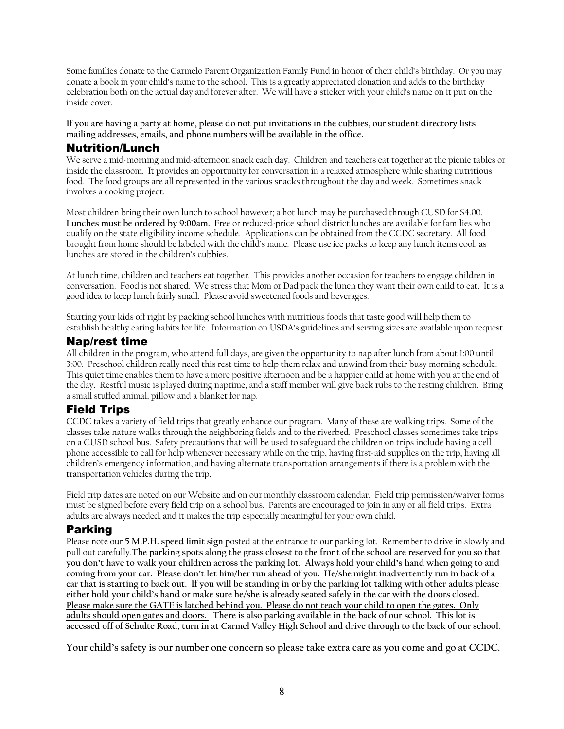Some families donate to the Carmelo Parent Organization Family Fund in honor of their child's birthday. Or you may donate a book in your child's name to the school. This is a greatly appreciated donation and adds to the birthday celebration both on the actual day and forever after. We will have a sticker with your child's name on it put on the inside cover.

**If you are having a party at home, please do not put invitations in the cubbies, our student directory lists mailing addresses, emails, and phone numbers will be available in the office.** 

## Nutrition/Lunch

We serve a mid-morning and mid-afternoon snack each day. Children and teachers eat together at the picnic tables or inside the classroom. It provides an opportunity for conversation in a relaxed atmosphere while sharing nutritious food. The food groups are all represented in the various snacks throughout the day and week. Sometimes snack involves a cooking project.

Most children bring their own lunch to school however; a hot lunch may be purchased through CUSD for \$4.00. **Lunches must be ordered by 9:00am.** Free or reduced-price school district lunches are available for families who qualify on the state eligibility income schedule. Applications can be obtained from the CCDC secretary. All food brought from home should be labeled with the child's name. Please use ice packs to keep any lunch items cool, as lunches are stored in the children's cubbies.

At lunch time, children and teachers eat together. This provides another occasion for teachers to engage children in conversation. Food is not shared. We stress that Mom or Dad pack the lunch they want their own child to eat. It is a good idea to keep lunch fairly small. Please avoid sweetened foods and beverages.

Starting your kids off right by packing school lunches with nutritious foods that taste good will help them to establish healthy eating habits for life. Information on USDA's guidelines and serving sizes are available upon request.

## Nap/rest time

All children in the program, who attend full days, are given the opportunity to nap after lunch from about 1:00 until 3:00. Preschool children really need this rest time to help them relax and unwind from their busy morning schedule. This quiet time enables them to have a more positive afternoon and be a happier child at home with you at the end of the day. Restful music is played during naptime, and a staff member will give back rubs to the resting children. Bring a small stuffed animal, pillow and a blanket for nap.

# Field Trips

CCDC takes a variety of field trips that greatly enhance our program. Many of these are walking trips. Some of the classes take nature walks through the neighboring fields and to the riverbed. Preschool classes sometimes take trips on a CUSD school bus. Safety precautions that will be used to safeguard the children on trips include having a cell phone accessible to call for help whenever necessary while on the trip, having first-aid supplies on the trip, having all children's emergency information, and having alternate transportation arrangements if there is a problem with the transportation vehicles during the trip.

Field trip dates are noted on our Website and on our monthly classroom calendar. Field trip permission/waiver forms must be signed before every field trip on a school bus. Parents are encouraged to join in any or all field trips. Extra adults are always needed, and it makes the trip especially meaningful for your own child.

## Parking

Please note our **5 M.P.H. speed limit sign** posted at the entrance to our parking lot. Remember to drive in slowly and pull out carefully.**The parking spots along the grass closest to the front of the school are reserved for you so that you don't have to walk your children across the parking lot. Always hold your child's hand when going to and coming from your car. Please don't let him/her run ahead of you. He/she might inadvertently run in back of a car that is starting to back out. If you will be standing in or by the parking lot talking with other adults please either hold your child's hand or make sure he/she is already seated safely in the car with the doors closed. Please make sure the GATE is latched behind you. Please do not teach your child to open the gates. Only adults should open gates and doors. There is also parking available in the back of our school. This lot is accessed off of Schulte Road, turn in at Carmel Valley High School and drive through to the back of our school.** 

**Your child's safety is our number one concern so please take extra care as you come and go at CCDC.**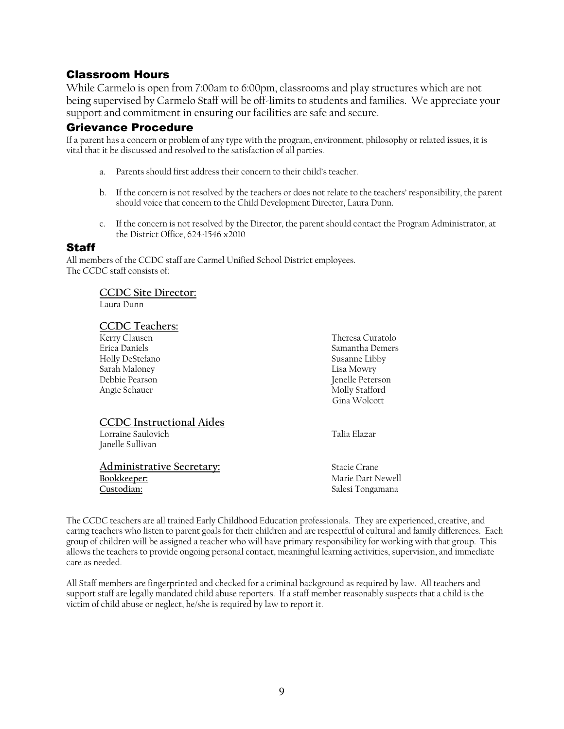# Classroom Hours

While Carmelo is open from 7:00am to 6:00pm, classrooms and play structures which are not being supervised by Carmelo Staff will be off-limits to students and families. We appreciate your support and commitment in ensuring our facilities are safe and secure.

## Grievance Procedure

If a parent has a concern or problem of any type with the program, environment, philosophy or related issues, it is vital that it be discussed and resolved to the satisfaction of all parties.

- a. Parents should first address their concern to their child's teacher.
- b. If the concern is not resolved by the teachers or does not relate to the teachers' responsibility, the parent should voice that concern to the Child Development Director, Laura Dunn.
- c. If the concern is not resolved by the Director, the parent should contact the Program Administrator, at the District Office, 624-1546 x2010

## Staff

All members of the CCDC staff are Carmel Unified School District employees. The CCDC staff consists of:

#### **CCDC Site Director:**

Laura Dunn

#### **CCDC Teachers:**

Kerry Clausen Theresa Curatolo Holly DeStefano Sarah Maloney Lisa Mowry Angie Schauer

# **CCDC Instructional Aides**

 Lorraine Saulovich Talia Elazar Janelle Sullivan

**Administrative Secretary:** Stacie Crane **Custodian:** Salesi Tongamana

Samantha Demers<br>Susanne Libby Jenelle Peterson<br>Molly Stafford Gina Wolcott

**Bookkeeper:** Marie Dart Newell

The CCDC teachers are all trained Early Childhood Education professionals. They are experienced, creative, and caring teachers who listen to parent goals for their children and are respectful of cultural and family differences. Each group of children will be assigned a teacher who will have primary responsibility for working with that group. This allows the teachers to provide ongoing personal contact, meaningful learning activities, supervision, and immediate care as needed.

All Staff members are fingerprinted and checked for a criminal background as required by law. All teachers and support staff are legally mandated child abuse reporters. If a staff member reasonably suspects that a child is the victim of child abuse or neglect, he/she is required by law to report it.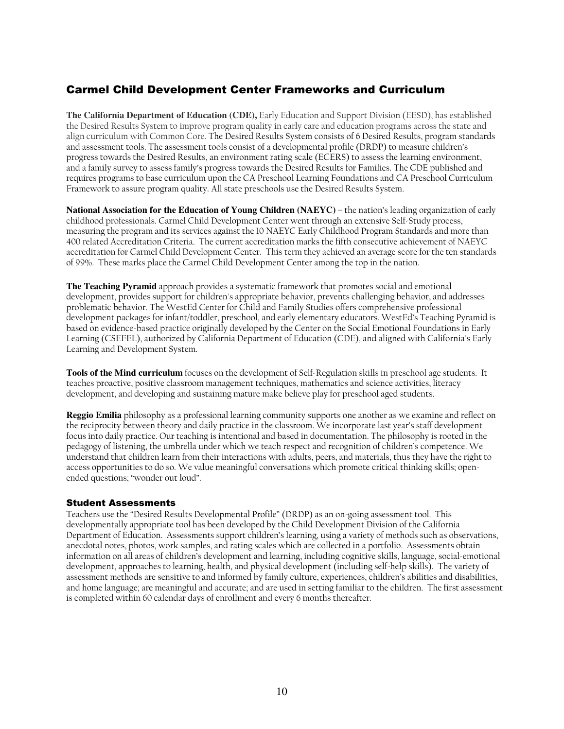# Carmel Child Development Center Frameworks and Curriculum

**The California Department of Education (CDE),** Early Education and Support Division (EESD), has established the Desired Results System to improve program quality in early care and education programs across the state and align curriculum with Common Core. The Desired Results System consists of 6 Desired Results, program standards and assessment tools. The assessment tools consist of a developmental profile (DRDP) to measure children's progress towards the Desired Results, an environment rating scale (ECERS) to assess the learning environment, and a family survey to assess family's progress towards the Desired Results for Families. The CDE published and requires programs to base curriculum upon the CA Preschool Learning Foundations and CA Preschool Curriculum Framework to assure program quality. All state preschools use the Desired Results System.

**National Association for the Education of Young Children (NAEYC)** – the nation's leading organization of early childhood professionals. Carmel Child Development Center went through an extensive Self-Study process, measuring the program and its services against the 10 NAEYC Early Childhood Program Standards and more than 400 related Accreditation Criteria. The current accreditation marks the fifth consecutive achievement of NAEYC accreditation for Carmel Child Development Center. This term they achieved an average score for the ten standards of 99%. These marks place the Carmel Child Development Center among the top in the nation.

**The Teaching Pyramid** approach provides a systematic framework that promotes social and emotional development, provides support for children's appropriate behavior, prevents challenging behavior, and addresses problematic behavior. The WestEd Center for Child and Family Studies offers comprehensive professional development packages for infant/toddler, preschool, and early elementary educators. WestEd's Teaching Pyramid is based on evidence-based practice originally developed by the Center on the Social Emotional Foundations in Early Learning (CSEFEL), authorized by California Department of Education (CDE), and aligned with California's Early Learning and Development System.

**Tools of the Mind curriculum** focuses on the development of Self-Regulation skills in preschool age students. It teaches proactive, positive classroom management techniques, mathematics and science activities, literacy development, and developing and sustaining mature make believe play for preschool aged students.

**Reggio Emilia** philosophy as a professional learning community supports one another as we examine and reflect on the reciprocity between theory and daily practice in the classroom. We incorporate last year's staff development focus into daily practice. Our teaching is intentional and based in documentation. The philosophy is rooted in the pedagogy of listening, the umbrella under which we teach respect and recognition of children's competence. We understand that children learn from their interactions with adults, peers, and materials, thus they have the right to access opportunities to do so. We value meaningful conversations which promote critical thinking skills; openended questions; "wonder out loud".

#### Student Assessments

Teachers use the "Desired Results Developmental Profile" (DRDP) as an on-going assessment tool. This developmentally appropriate tool has been developed by the Child Development Division of the California Department of Education. Assessments support children's learning, using a variety of methods such as observations, anecdotal notes, photos, work samples, and rating scales which are collected in a portfolio. Assessments obtain information on all areas of children's development and learning, including cognitive skills, language, social-emotional development, approaches to learning, health, and physical development (including self-help skills). The variety of assessment methods are sensitive to and informed by family culture, experiences, children's abilities and disabilities, and home language; are meaningful and accurate; and are used in setting familiar to the children. The first assessment is completed within 60 calendar days of enrollment and every 6 months thereafter.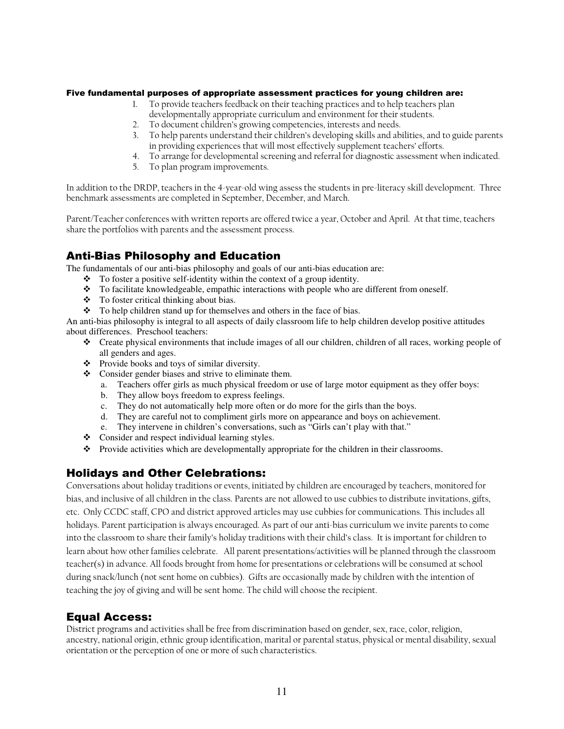#### Five fundamental purposes of appropriate assessment practices for young children are:

- 1. To provide teachers feedback on their teaching practices and to help teachers plan developmentally appropriate curriculum and environment for their students.
- 2. To document children's growing competencies, interests and needs.
- 3. To help parents understand their children's developing skills and abilities, and to guide parents in providing experiences that will most effectively supplement teachers' efforts.
- 4. To arrange for developmental screening and referral for diagnostic assessment when indicated.
- 5. To plan program improvements.

In addition to the DRDP, teachers in the 4-year-old wing assess the students in pre-literacy skill development. Three benchmark assessments are completed in September, December, and March.

Parent/Teacher conferences with written reports are offered twice a year, October and April. At that time, teachers share the portfolios with parents and the assessment process.

# Anti-Bias Philosophy and Education

The fundamentals of our anti-bias philosophy and goals of our anti-bias education are:

- $\bullet$  To foster a positive self-identity within the context of a group identity.
- $\bullet$  To facilitate knowledgeable, empathic interactions with people who are different from oneself.
- To foster critical thinking about bias.
- \* To help children stand up for themselves and others in the face of bias.

An anti-bias philosophy is integral to all aspects of daily classroom life to help children develop positive attitudes about differences. Preschool teachers:

- Create physical environments that include images of all our children, children of all races, working people of all genders and ages.
- \* Provide books and toys of similar diversity.
- Consider gender biases and strive to eliminate them.
	- a. Teachers offer girls as much physical freedom or use of large motor equipment as they offer boys:
	- b. They allow boys freedom to express feelings.
	- c. They do not automatically help more often or do more for the girls than the boys.
	- d. They are careful not to compliment girls more on appearance and boys on achievement.
	- e. They intervene in children's conversations, such as "Girls can't play with that."
- Consider and respect individual learning styles.
- Provide activities which are developmentally appropriate for the children in their classrooms.

## Holidays and Other Celebrations:

Conversations about holiday traditions or events, initiated by children are encouraged by teachers, monitored for bias, and inclusive of all children in the class. Parents are not allowed to use cubbies to distribute invitations, gifts, etc. Only CCDC staff, CPO and district approved articles may use cubbies for communications. This includes all holidays. Parent participation is always encouraged. As part of our anti-bias curriculum we invite parents to come into the classroom to share their family's holiday traditions with their child's class. It is important for children to learn about how other families celebrate. All parent presentations/activities will be planned through the classroom teacher(s) in advance. All foods brought from home for presentations or celebrations will be consumed at school during snack/lunch (not sent home on cubbies). Gifts are occasionally made by children with the intention of teaching the joy of giving and will be sent home. The child will choose the recipient.

# Equal Access:

District programs and activities shall be free from discrimination based on gender, sex, race, color, religion, ancestry, national origin, ethnic group identification, marital or parental status, physical or mental disability, sexual orientation or the perception of one or more of such characteristics.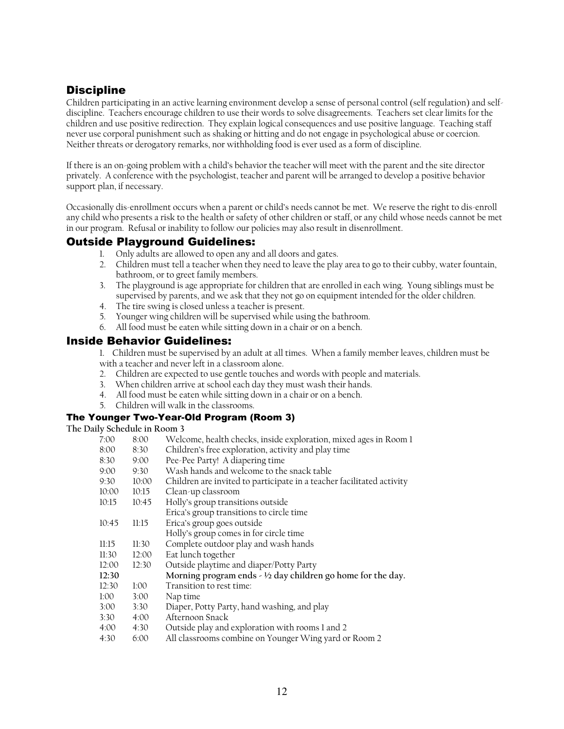# **Discipline**

Children participating in an active learning environment develop a sense of personal control (self regulation) and selfdiscipline. Teachers encourage children to use their words to solve disagreements. Teachers set clear limits for the children and use positive redirection. They explain logical consequences and use positive language. Teaching staff never use corporal punishment such as shaking or hitting and do not engage in psychological abuse or coercion. Neither threats or derogatory remarks, nor withholding food is ever used as a form of discipline.

If there is an on-going problem with a child's behavior the teacher will meet with the parent and the site director privately. A conference with the psychologist, teacher and parent will be arranged to develop a positive behavior support plan, if necessary.

Occasionally dis-enrollment occurs when a parent or child's needs cannot be met. We reserve the right to dis-enroll any child who presents a risk to the health or safety of other children or staff, or any child whose needs cannot be met in our program. Refusal or inability to follow our policies may also result in disenrollment.

## Outside Playground Guidelines:

- 1. Only adults are allowed to open any and all doors and gates.
- 2. Children must tell a teacher when they need to leave the play area to go to their cubby, water fountain, bathroom, or to greet family members.
- 3. The playground is age appropriate for children that are enrolled in each wing. Young siblings must be supervised by parents, and we ask that they not go on equipment intended for the older children.
- 4. The tire swing is closed unless a teacher is present.
- 5. Younger wing children will be supervised while using the bathroom.
- 6. All food must be eaten while sitting down in a chair or on a bench.

## Inside Behavior Guidelines:

1. Children must be supervised by an adult at all times. When a family member leaves, children must be with a teacher and never left in a classroom alone.

- 2. Children are expected to use gentle touches and words with people and materials.
- 3. When children arrive at school each day they must wash their hands.
- 4. All food must be eaten while sitting down in a chair or on a bench.
- 5. Children will walk in the classrooms.

#### The Younger Two-Year-Old Program (Room 3)

#### **The Daily Schedule in Room 3**

| 7:00  | 8:00  | Welcome, health checks, inside exploration, mixed ages in Room 1      |
|-------|-------|-----------------------------------------------------------------------|
| 8:00  | 8:30  | Children's free exploration, activity and play time                   |
| 8:30  | 9:00  | Pee-Pee Party! A diapering time                                       |
| 9:00  | 9:30  | Wash hands and welcome to the snack table                             |
| 9:30  | 10:00 | Children are invited to participate in a teacher facilitated activity |
| 10:00 | 10:15 | Clean-up classroom                                                    |
| 10:15 | 10:45 | Holly's group transitions outside                                     |
|       |       | Erica's group transitions to circle time                              |
| 10:45 | 11:15 | Erica's group goes outside                                            |
|       |       | Holly's group comes in for circle time                                |
| 11:15 | 11:30 | Complete outdoor play and wash hands                                  |
| 11:30 | 12:00 | Eat lunch together                                                    |
| 12:00 | 12:30 | Outside playtime and diaper/Potty Party                               |
| 12:30 |       | Morning program ends $-$ 1/2 day children go home for the day.        |
| 12:30 | 1:00  | Transition to rest time:                                              |
| 1:00  | 3:00  | Nap time                                                              |
| 3:00  | 3:30  | Diaper, Potty Party, hand washing, and play                           |
| 3:30  | 4:00  | Afternoon Snack                                                       |
| 4:00  | 4:30  | Outside play and exploration with rooms 1 and 2                       |
| 4:30  | 6:00  | All classrooms combine on Younger Wing yard or Room 2                 |
|       |       |                                                                       |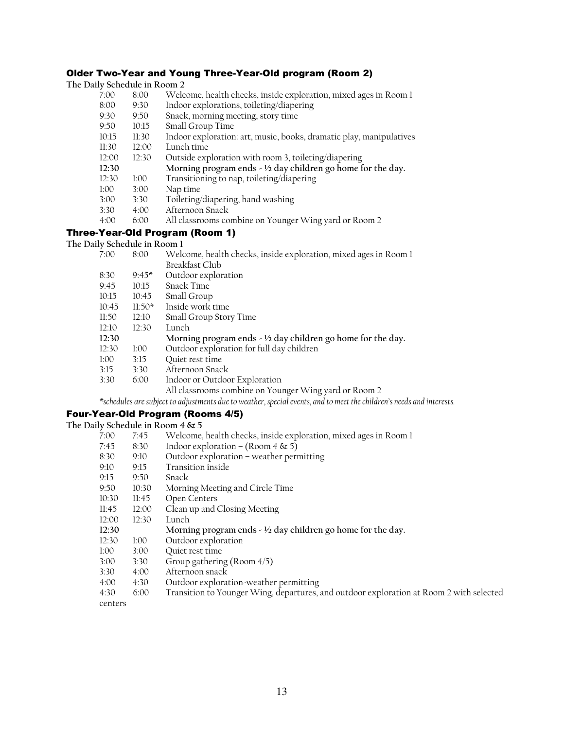#### Older Two-Year and Young Three-Year-Old program (Room 2) **The Daily Schedule in Room 2**

| The Daily Schedule in Room 2 |       |                                                                     |
|------------------------------|-------|---------------------------------------------------------------------|
| 7:00                         | 8:00  | Welcome, health checks, inside exploration, mixed ages in Room 1    |
| 8:00                         | 9:30  | Indoor explorations, toileting/diapering                            |
| 9:30                         | 9:50  | Snack, morning meeting, story time                                  |
| 9:50                         | 10:15 | Small Group Time                                                    |
| 10:15                        | 11:30 | Indoor exploration: art, music, books, dramatic play, manipulatives |
| 11:30                        | 12:00 | Lunch time                                                          |
| 12:00                        | 12:30 | Outside exploration with room 3, toileting/diapering                |
| 12:30                        |       | Morning program ends $-$ 1/2 day children go home for the day.      |
| 12:30                        | 1:00  | Transitioning to nap, toileting/diapering                           |
| 1:00                         | 3:00  | Nap time                                                            |
| 3:00                         | 3:30  | Toileting/diapering, hand washing                                   |
| 3:30                         | 4:00  | Afternoon Snack                                                     |
| 4:00                         | 6:00  | All classrooms combine on Younger Wing yard or Room 2               |
|                              |       | Three-Year-Old Program (Room 1)                                     |

# **The Daily Schedule in Room 1**

| 7:00  | 8:00     | Welcome, health checks, inside exploration, mixed ages in Room 1  |
|-------|----------|-------------------------------------------------------------------|
|       |          | Breakfast Club                                                    |
| 8:30  | $9.45*$  | Outdoor exploration                                               |
| 9:45  | 10:15    | Snack Time                                                        |
| 10:15 | 10:45    | Small Group                                                       |
| 10:45 | $11:50*$ | Inside work time                                                  |
| 11:50 | 12:10    | Small Group Story Time                                            |
| 12:10 | 12:30    | Lunch                                                             |
| 12:30 |          | Morning program ends $\sim$ 1/2 day children go home for the day. |
| 12:30 | 1:00     | Outdoor exploration for full day children                         |
| 1:00  | 3:15     | Quiet rest time                                                   |
| 3:15  | 3:30     | Afternoon Snack                                                   |
| 3:30  | 6:00     | Indoor or Outdoor Exploration                                     |
|       |          | All classrooms combine on Younger Wing yard or Room 2             |
|       |          |                                                                   |

*\*schedules are subject to adjustments due to weather, special events, and to meet the children's needs and interests.* 

# Four-Year-Old Program (Rooms 4/5)

**The Daily Schedule in Room 4 & 5** 

| 7:00    | 7:45  | Welcome, health checks, inside exploration, mixed ages in Room 1                        |
|---------|-------|-----------------------------------------------------------------------------------------|
| 7:45    | 8:30  | Indoor exploration – (Room 4 & 5)                                                       |
| 8:30    | 9:10  | Outdoor exploration - weather permitting                                                |
| 9:10    | 9:15  | Transition inside                                                                       |
| 9.15    | 9:50  | Snack                                                                                   |
| 9:50    | 10:30 | Morning Meeting and Circle Time                                                         |
| 10:30   | 11:45 | Open Centers                                                                            |
| 11:45   | 12:00 | Clean up and Closing Meeting                                                            |
| 12:00   | 12:30 | Lunch                                                                                   |
| 12:30   |       | Morning program ends $\sim$ 1/2 day children go home for the day.                       |
| 12:30   | 1:00  | Outdoor exploration                                                                     |
| 1:00    | 3:00  | Quiet rest time                                                                         |
| 3:00    | 3:30  | Group gathering (Room 4/5)                                                              |
| 3:30    | 4:00  | Afternoon snack                                                                         |
| 4:00    | 4:30  | Outdoor exploration-weather permitting                                                  |
| 4:30    | 6:00  | Transition to Younger Wing, departures, and outdoor exploration at Room 2 with selected |
| centers |       |                                                                                         |
|         |       |                                                                                         |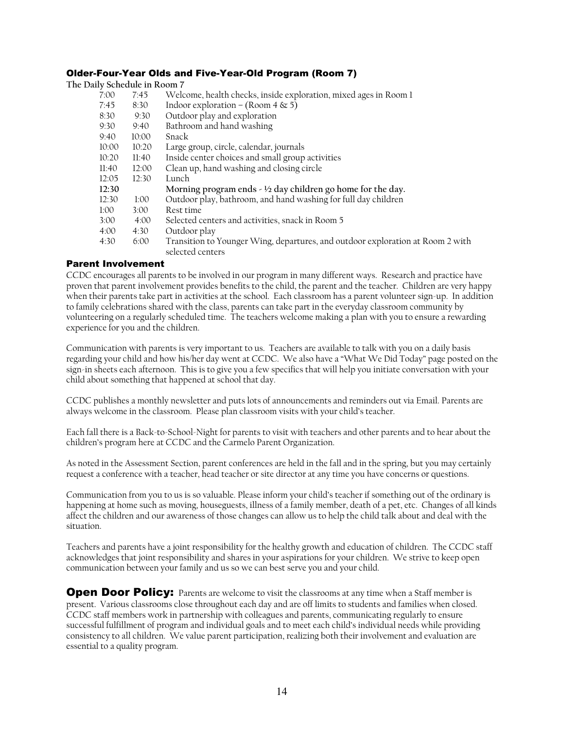#### Older-Four-Year Olds and Five-Year-Old Program (Room 7)

| The Daily Schedule in Room 7 |       |                                                                                                    |
|------------------------------|-------|----------------------------------------------------------------------------------------------------|
| 7:00                         | 7:45  | Welcome, health checks, inside exploration, mixed ages in Room 1                                   |
| 7:45                         | 8:30  | Indoor exploration – (Room 4 & 5)                                                                  |
| 8:30                         | 9:30  | Outdoor play and exploration                                                                       |
| 9:30                         | 9:40  | Bathroom and hand washing                                                                          |
| 9:40                         | 10:00 | Snack                                                                                              |
| 10:00                        | 10:20 | Large group, circle, calendar, journals                                                            |
| 10:20                        | 11:40 | Inside center choices and small group activities                                                   |
| 11:40                        | 12:00 | Clean up, hand washing and closing circle                                                          |
| 12:05                        | 12:30 | Lunch                                                                                              |
| 12:30                        |       | Morning program ends $\sim$ 1/2 day children go home for the day.                                  |
| 12:30                        | 1:00  | Outdoor play, bathroom, and hand washing for full day children                                     |
| 1:00                         | 3:00  | Rest time                                                                                          |
| 3:00                         | 4:00  | Selected centers and activities, snack in Room 5                                                   |
| 4:00                         | 4:30  | Outdoor play                                                                                       |
| 4:30                         | 6:00  | Transition to Younger Wing, departures, and outdoor exploration at Room 2 with<br>selected centers |

#### Parent Involvement

CCDC encourages all parents to be involved in our program in many different ways. Research and practice have proven that parent involvement provides benefits to the child, the parent and the teacher. Children are very happy when their parents take part in activities at the school. Each classroom has a parent volunteer sign-up. In addition to family celebrations shared with the class, parents can take part in the everyday classroom community by volunteering on a regularly scheduled time. The teachers welcome making a plan with you to ensure a rewarding experience for you and the children.

Communication with parents is very important to us. Teachers are available to talk with you on a daily basis regarding your child and how his/her day went at CCDC. We also have a "What We Did Today" page posted on the sign-in sheets each afternoon. This is to give you a few specifics that will help you initiate conversation with your child about something that happened at school that day.

CCDC publishes a monthly newsletter and puts lots of announcements and reminders out via Email. Parents are always welcome in the classroom. Please plan classroom visits with your child's teacher.

Each fall there is a Back-to-School-Night for parents to visit with teachers and other parents and to hear about the children's program here at CCDC and the Carmelo Parent Organization.

As noted in the Assessment Section, parent conferences are held in the fall and in the spring, but you may certainly request a conference with a teacher, head teacher or site director at any time you have concerns or questions.

Communication from you to us is so valuable. Please inform your child's teacher if something out of the ordinary is happening at home such as moving, houseguests, illness of a family member, death of a pet, etc. Changes of all kinds affect the children and our awareness of those changes can allow us to help the child talk about and deal with the situation.

Teachers and parents have a joint responsibility for the healthy growth and education of children. The CCDC staff acknowledges that joint responsibility and shares in your aspirations for your children. We strive to keep open communication between your family and us so we can best serve you and your child.

**Open Door Policy:** Parents are welcome to visit the classrooms at any time when a Staff member is present. Various classrooms close throughout each day and are off limits to students and families when closed. CCDC staff members work in partnership with colleagues and parents, communicating regularly to ensure successful fulfillment of program and individual goals and to meet each child's individual needs while providing consistency to all children. We value parent participation, realizing both their involvement and evaluation are essential to a quality program.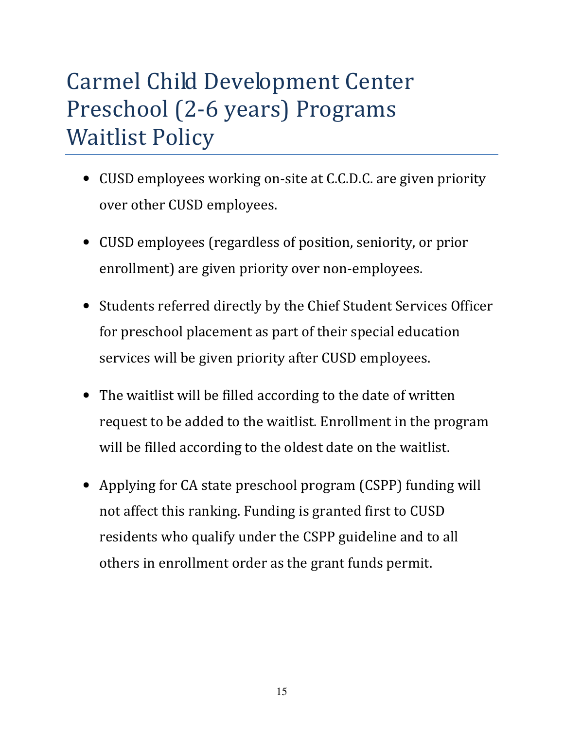# Carmel Child Development Center Preschool (2-6 years) Programs Waitlist Policy

- CUSD employees working on-site at C.C.D.C. are given priority over other CUSD employees.
- CUSD employees (regardless of position, seniority, or prior enrollment) are given priority over non-employees.
- Students referred directly by the Chief Student Services Officer for preschool placement as part of their special education services will be given priority after CUSD employees.
- The waitlist will be filled according to the date of written request to be added to the waitlist. Enrollment in the program will be filled according to the oldest date on the waitlist.
- Applying for CA state preschool program (CSPP) funding will not affect this ranking. Funding is granted first to CUSD residents who qualify under the CSPP guideline and to all others in enrollment order as the grant funds permit.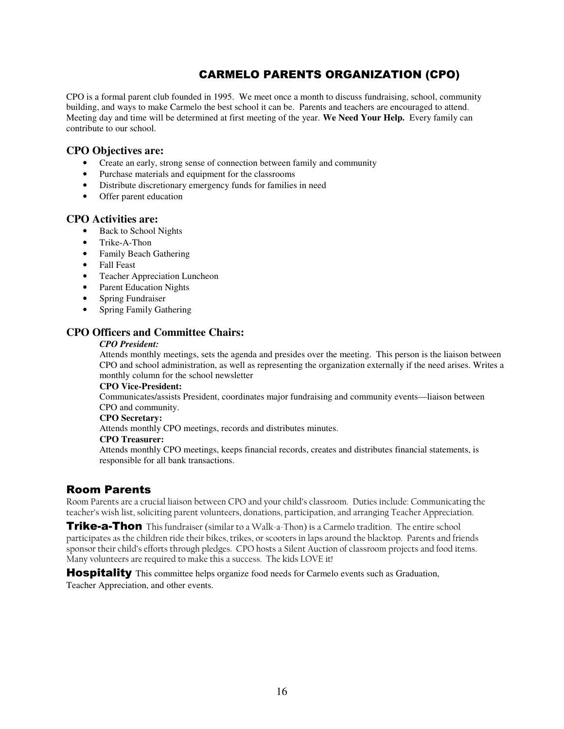# CARMELO PARENTS ORGANIZATION (CPO)

CPO is a formal parent club founded in 1995. We meet once a month to discuss fundraising, school, community building, and ways to make Carmelo the best school it can be. Parents and teachers are encouraged to attend. Meeting day and time will be determined at first meeting of the year. **We Need Your Help.** Every family can contribute to our school.

#### **CPO Objectives are:**

- Create an early, strong sense of connection between family and community
- Purchase materials and equipment for the classrooms
- Distribute discretionary emergency funds for families in need
- Offer parent education

#### **CPO Activities are:**

- Back to School Nights
- Trike-A-Thon
- Family Beach Gathering
- Fall Feast
- Teacher Appreciation Luncheon
- Parent Education Nights
- Spring Fundraiser
- Spring Family Gathering

## **CPO Officers and Committee Chairs:**

#### *CPO President:*

 Attends monthly meetings, sets the agenda and presides over the meeting. This person is the liaison between CPO and school administration, as well as representing the organization externally if the need arises. Writes a monthly column for the school newsletter

#### **CPO Vice-President:**

 Communicates/assists President, coordinates major fundraising and community events—liaison between CPO and community.

#### **CPO Secretary:**

Attends monthly CPO meetings, records and distributes minutes.

#### **CPO Treasurer:**

 Attends monthly CPO meetings, keeps financial records, creates and distributes financial statements, is responsible for all bank transactions.

## Room Parents

Room Parents are a crucial liaison between CPO and your child's classroom. Duties include: Communicating the teacher's wish list, soliciting parent volunteers, donations, participation, and arranging Teacher Appreciation.

Trike-a-Thon This fundraiser (similar to a Walk-a-Thon) is a Carmelo tradition. The entire school participates as the children ride their bikes, trikes, or scooters in laps around the blacktop. Parents and friends sponsor their child's efforts through pledges. CPO hosts a Silent Auction of classroom projects and food items. Many volunteers are required to make this a success. The kids LOVE it!

**Hospitality** This committee helps organize food needs for Carmelo events such as Graduation, Teacher Appreciation, and other events.